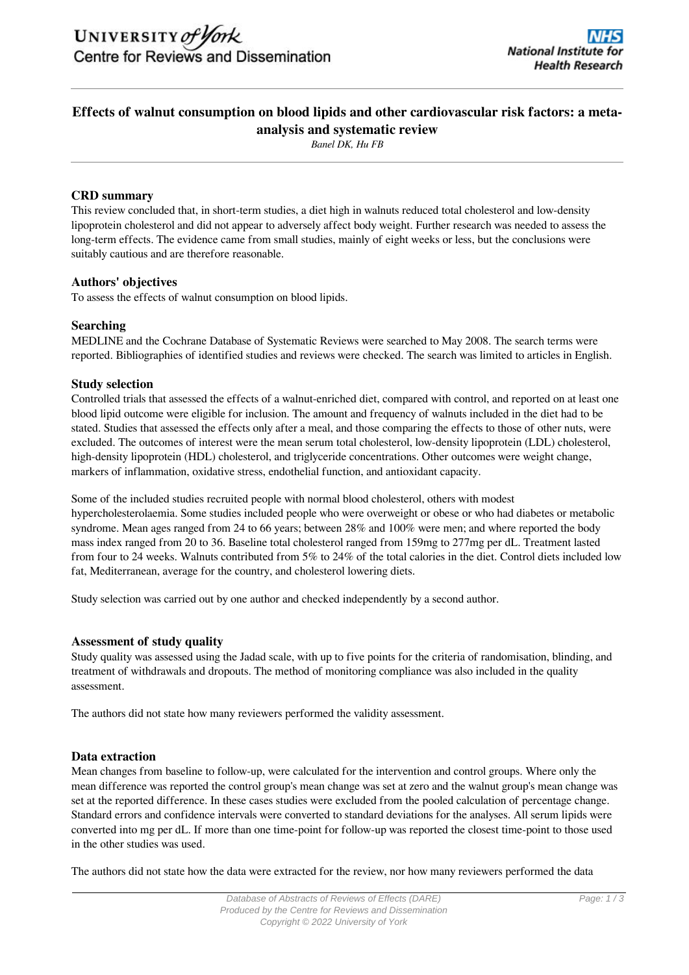# **Effects of walnut consumption on blood lipids and other cardiovascular risk factors: a metaanalysis and systematic review**

*Banel DK, Hu FB*

# **CRD summary**

This review concluded that, in short-term studies, a diet high in walnuts reduced total cholesterol and low-density lipoprotein cholesterol and did not appear to adversely affect body weight. Further research was needed to assess the long-term effects. The evidence came from small studies, mainly of eight weeks or less, but the conclusions were suitably cautious and are therefore reasonable.

# **Authors' objectives**

To assess the effects of walnut consumption on blood lipids.

# **Searching**

MEDLINE and the Cochrane Database of Systematic Reviews were searched to May 2008. The search terms were reported. Bibliographies of identified studies and reviews were checked. The search was limited to articles in English.

# **Study selection**

Controlled trials that assessed the effects of a walnut-enriched diet, compared with control, and reported on at least one blood lipid outcome were eligible for inclusion. The amount and frequency of walnuts included in the diet had to be stated. Studies that assessed the effects only after a meal, and those comparing the effects to those of other nuts, were excluded. The outcomes of interest were the mean serum total cholesterol, low-density lipoprotein (LDL) cholesterol, high-density lipoprotein (HDL) cholesterol, and triglyceride concentrations. Other outcomes were weight change, markers of inflammation, oxidative stress, endothelial function, and antioxidant capacity.

Some of the included studies recruited people with normal blood cholesterol, others with modest hypercholesterolaemia. Some studies included people who were overweight or obese or who had diabetes or metabolic syndrome. Mean ages ranged from 24 to 66 years; between 28% and 100% were men; and where reported the body mass index ranged from 20 to 36. Baseline total cholesterol ranged from 159mg to 277mg per dL. Treatment lasted from four to 24 weeks. Walnuts contributed from 5% to 24% of the total calories in the diet. Control diets included low fat, Mediterranean, average for the country, and cholesterol lowering diets.

Study selection was carried out by one author and checked independently by a second author.

### **Assessment of study quality**

Study quality was assessed using the Jadad scale, with up to five points for the criteria of randomisation, blinding, and treatment of withdrawals and dropouts. The method of monitoring compliance was also included in the quality assessment.

The authors did not state how many reviewers performed the validity assessment.

### **Data extraction**

Mean changes from baseline to follow-up, were calculated for the intervention and control groups. Where only the mean difference was reported the control group's mean change was set at zero and the walnut group's mean change was set at the reported difference. In these cases studies were excluded from the pooled calculation of percentage change. Standard errors and confidence intervals were converted to standard deviations for the analyses. All serum lipids were converted into mg per dL. If more than one time-point for follow-up was reported the closest time-point to those used in the other studies was used.

The authors did not state how the data were extracted for the review, nor how many reviewers performed the data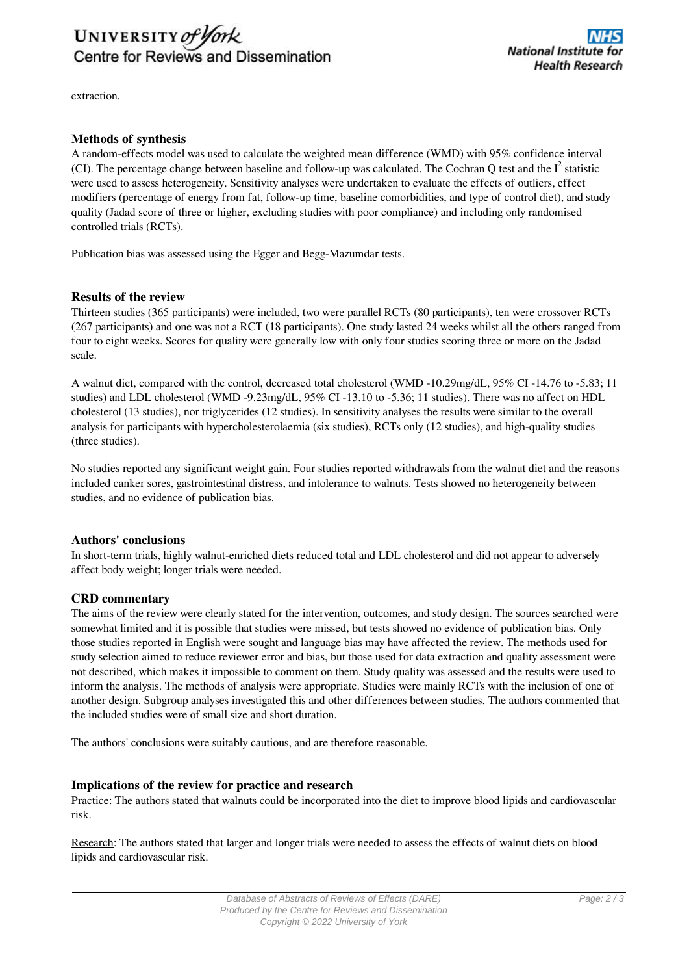

extraction.

# **Methods of synthesis**

A random-effects model was used to calculate the weighted mean difference (WMD) with 95% confidence interval (CI). The percentage change between baseline and follow-up was calculated. The Cochran Q test and the  $I^2$  statistic were used to assess heterogeneity. Sensitivity analyses were undertaken to evaluate the effects of outliers, effect modifiers (percentage of energy from fat, follow-up time, baseline comorbidities, and type of control diet), and study quality (Jadad score of three or higher, excluding studies with poor compliance) and including only randomised controlled trials (RCTs).

Publication bias was assessed using the Egger and Begg-Mazumdar tests.

#### **Results of the review**

Thirteen studies (365 participants) were included, two were parallel RCTs (80 participants), ten were crossover RCTs (267 participants) and one was not a RCT (18 participants). One study lasted 24 weeks whilst all the others ranged from four to eight weeks. Scores for quality were generally low with only four studies scoring three or more on the Jadad scale.

A walnut diet, compared with the control, decreased total cholesterol (WMD -10.29mg/dL, 95% CI -14.76 to -5.83; 11 studies) and LDL cholesterol (WMD -9.23mg/dL, 95% CI -13.10 to -5.36; 11 studies). There was no affect on HDL cholesterol (13 studies), nor triglycerides (12 studies). In sensitivity analyses the results were similar to the overall analysis for participants with hypercholesterolaemia (six studies), RCTs only (12 studies), and high-quality studies (three studies).

No studies reported any significant weight gain. Four studies reported withdrawals from the walnut diet and the reasons included canker sores, gastrointestinal distress, and intolerance to walnuts. Tests showed no heterogeneity between studies, and no evidence of publication bias.

### **Authors' conclusions**

In short-term trials, highly walnut-enriched diets reduced total and LDL cholesterol and did not appear to adversely affect body weight; longer trials were needed.

#### **CRD commentary**

The aims of the review were clearly stated for the intervention, outcomes, and study design. The sources searched were somewhat limited and it is possible that studies were missed, but tests showed no evidence of publication bias. Only those studies reported in English were sought and language bias may have affected the review. The methods used for study selection aimed to reduce reviewer error and bias, but those used for data extraction and quality assessment were not described, which makes it impossible to comment on them. Study quality was assessed and the results were used to inform the analysis. The methods of analysis were appropriate. Studies were mainly RCTs with the inclusion of one of another design. Subgroup analyses investigated this and other differences between studies. The authors commented that the included studies were of small size and short duration.

The authors' conclusions were suitably cautious, and are therefore reasonable.

#### **Implications of the review for practice and research**

Practice: The authors stated that walnuts could be incorporated into the diet to improve blood lipids and cardiovascular risk.

Research: The authors stated that larger and longer trials were needed to assess the effects of walnut diets on blood lipids and cardiovascular risk.